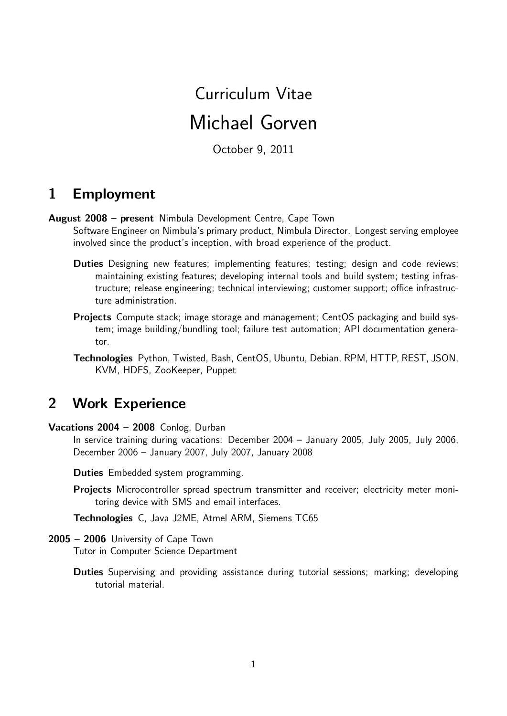# Curriculum Vitae Michael Gorven

October 9, 2011

#### 1 Employment

August 2008 – present Nimbula Development Centre, Cape Town

Software Engineer on Nimbula's primary product, Nimbula Director. Longest serving employee involved since the product's inception, with broad experience of the product.

- Duties Designing new features; implementing features; testing; design and code reviews; maintaining existing features; developing internal tools and build system; testing infrastructure; release engineering; technical interviewing; customer support; office infrastructure administration.
- Projects Compute stack; image storage and management; CentOS packaging and build system; image building/bundling tool; failure test automation; API documentation generator.

Technologies Python, Twisted, Bash, CentOS, Ubuntu, Debian, RPM, HTTP, REST, JSON, KVM, HDFS, ZooKeeper, Puppet

# 2 Work Experience

Vacations 2004 – 2008 Conlog, Durban

In service training during vacations: December 2004 – January 2005, July 2005, July 2006, December 2006 – January 2007, July 2007, January 2008

Duties Embedded system programming.

Projects Microcontroller spread spectrum transmitter and receiver; electricity meter monitoring device with SMS and email interfaces.

Technologies C, Java J2ME, Atmel ARM, Siemens TC65

#### 2005 – 2006 University of Cape Town

Tutor in Computer Science Department

Duties Supervising and providing assistance during tutorial sessions; marking; developing tutorial material.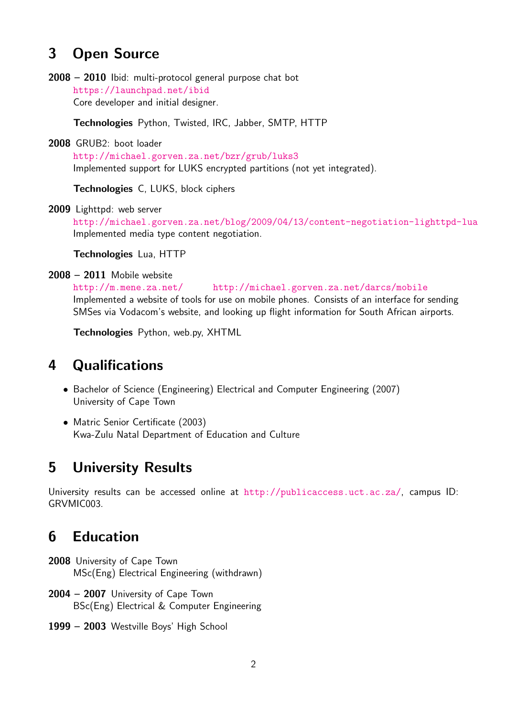## 3 Open Source

2008 – 2010 Ibid: multi-protocol general purpose chat bot <https://launchpad.net/ibid> Core developer and initial designer.

Technologies Python, Twisted, IRC, Jabber, SMTP, HTTP

2008 GRUB2: boot loader

<http://michael.gorven.za.net/bzr/grub/luks3> Implemented support for LUKS encrypted partitions (not yet integrated).

Technologies C, LUKS, block ciphers

2009 Lighttpd: web server

<http://michael.gorven.za.net/blog/2009/04/13/content-negotiation-lighttpd-lua> Implemented media type content negotiation.

Technologies Lua, HTTP

2008 – 2011 Mobile website

<http://m.mene.za.net/> <http://michael.gorven.za.net/darcs/mobile> Implemented a website of tools for use on mobile phones. Consists of an interface for sending SMSes via Vodacom's website, and looking up flight information for South African airports.

Technologies Python, web.py, XHTML

#### 4 Qualifications

- Bachelor of Science (Engineering) Electrical and Computer Engineering (2007) University of Cape Town
- Matric Senior Certificate (2003) Kwa-Zulu Natal Department of Education and Culture

#### 5 University Results

University results can be accessed online at <http://publicaccess.uct.ac.za/>, campus ID: GRVMIC003.

# 6 Education

- 2008 University of Cape Town MSc(Eng) Electrical Engineering (withdrawn)
- 2004 2007 University of Cape Town BSc(Eng) Electrical & Computer Engineering
- 1999 2003 Westville Boys' High School